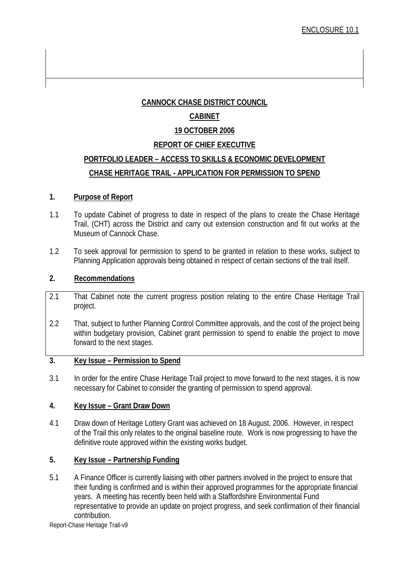### **CANNOCK CHASE DISTRICT COUNCIL**

### **CABINET**

### **19 OCTOBER 2006**

### **REPORT OF CHIEF EXECUTIVE**

# **PORTFOLIO LEADER – ACCESS TO SKILLS & ECONOMIC DEVELOPMENT CHASE HERITAGE TRAIL - APPLICATION FOR PERMISSION TO SPEND**

### **1. Purpose of Report**

- 1.1 To update Cabinet of progress to date in respect of the plans to create the Chase Heritage Trail, (CHT) across the District and carry out extension construction and fit out works at the Museum of Cannock Chase.
- 1.2 To seek approval for permission to spend to be granted in relation to these works, subject to Planning Application approvals being obtained in respect of certain sections of the trail itself.

### **2. Recommendations**

- 2.1 That Cabinet note the current progress position relating to the entire Chase Heritage Trail project.
- 2.2 That, subject to further Planning Control Committee approvals, and the cost of the project being within budgetary provision, Cabinet grant permission to spend to enable the project to move forward to the next stages.

### **3. Key Issue – Permission to Spend**

3.1 In order for the entire Chase Heritage Trail project to move forward to the next stages, it is now necessary for Cabinet to consider the granting of permission to spend approval.

### **4. Key Issue – Grant Draw Down**

4.1 Draw down of Heritage Lottery Grant was achieved on 18 August, 2006. However, in respect of the Trail this only relates to the original baseline route. Work is now progressing to have the definitive route approved within the existing works budget.

### **5. Key Issue – Partnership Funding**

5.1 A Finance Officer is currently liaising with other partners involved in the project to ensure that their funding is confirmed and is within their approved programmes for the appropriate financial years. A meeting has recently been held with a Staffordshire Environmental Fund representative to provide an update on project progress, and seek confirmation of their financial contribution.

Report-Chase Heritage Trail-v9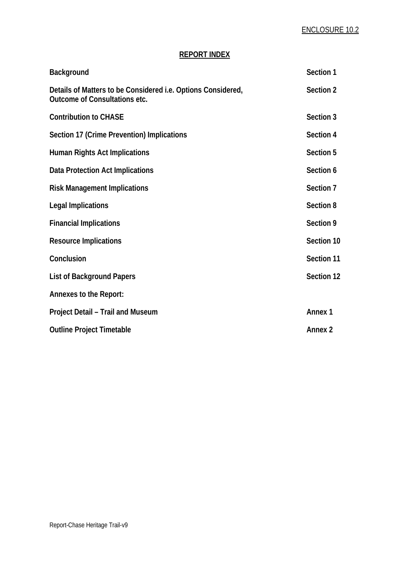## **REPORT INDEX**

| Background                                                                                                  | Section 1          |
|-------------------------------------------------------------------------------------------------------------|--------------------|
| Details of Matters to be Considered <i>i.e.</i> Options Considered,<br><b>Outcome of Consultations etc.</b> | Section 2          |
| <b>Contribution to CHASE</b>                                                                                | Section 3          |
| Section 17 (Crime Prevention) Implications                                                                  | Section 4          |
| Human Rights Act Implications                                                                               | Section 5          |
| Data Protection Act Implications                                                                            | Section 6          |
| <b>Risk Management Implications</b>                                                                         | Section 7          |
| <b>Legal Implications</b>                                                                                   | Section 8          |
| <b>Financial Implications</b>                                                                               | Section 9          |
| <b>Resource Implications</b>                                                                                | Section 10         |
| Conclusion                                                                                                  | Section 11         |
| <b>List of Background Papers</b>                                                                            | Section 12         |
| Annexes to the Report:                                                                                      |                    |
| Project Detail - Trail and Museum                                                                           | Annex <sub>1</sub> |
| <b>Outline Project Timetable</b>                                                                            | <b>Annex 2</b>     |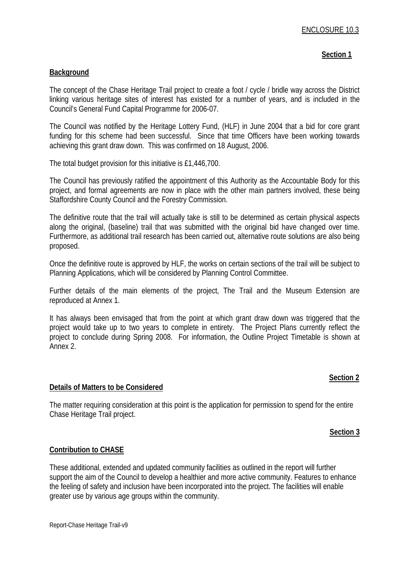### **Section 1**

#### **Background**

The concept of the Chase Heritage Trail project to create a foot / cycle / bridle way across the District linking various heritage sites of interest has existed for a number of years, and is included in the Council's General Fund Capital Programme for 2006-07.

The Council was notified by the Heritage Lottery Fund, (HLF) in June 2004 that a bid for core grant funding for this scheme had been successful. Since that time Officers have been working towards achieving this grant draw down. This was confirmed on 18 August, 2006.

The total budget provision for this initiative is £1,446,700.

The Council has previously ratified the appointment of this Authority as the Accountable Body for this project, and formal agreements are now in place with the other main partners involved, these being Staffordshire County Council and the Forestry Commission.

The definitive route that the trail will actually take is still to be determined as certain physical aspects along the original, (baseline) trail that was submitted with the original bid have changed over time. Furthermore, as additional trail research has been carried out, alternative route solutions are also being proposed.

Once the definitive route is approved by HLF, the works on certain sections of the trail will be subject to Planning Applications, which will be considered by Planning Control Committee.

Further details of the main elements of the project, The Trail and the Museum Extension are reproduced at Annex 1.

It has always been envisaged that from the point at which grant draw down was triggered that the project would take up to two years to complete in entirety. The Project Plans currently reflect the project to conclude during Spring 2008. For information, the Outline Project Timetable is shown at Annex 2.

### **Section 2**

#### **Details of Matters to be Considered**

The matter requiring consideration at this point is the application for permission to spend for the entire Chase Heritage Trail project.

#### **Section 3**

### **Contribution to CHASE**

These additional, extended and updated community facilities as outlined in the report will further support the aim of the Council to develop a healthier and more active community. Features to enhance the feeling of safety and inclusion have been incorporated into the project. The facilities will enable greater use by various age groups within the community.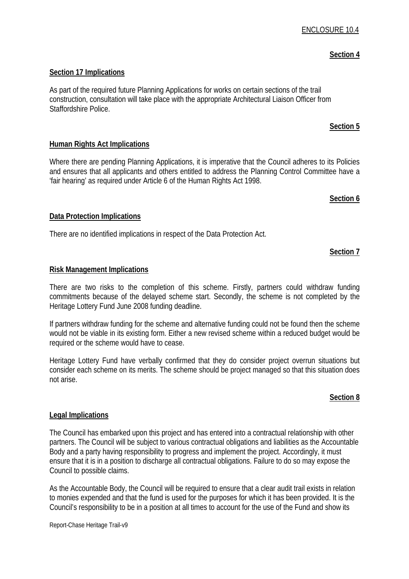## **Section 17 Implications**

As part of the required future Planning Applications for works on certain sections of the trail construction, consultation will take place with the appropriate Architectural Liaison Officer from Staffordshire Police.

## **Human Rights Act Implications**

Where there are pending Planning Applications, it is imperative that the Council adheres to its Policies and ensures that all applicants and others entitled to address the Planning Control Committee have a 'fair hearing' as required under Article 6 of the Human Rights Act 1998.

# **Data Protection Implications**

There are no identified implications in respect of the Data Protection Act.

## **Section 7**

**Section 6**

#### **Risk Management Implications**

There are two risks to the completion of this scheme. Firstly, partners could withdraw funding commitments because of the delayed scheme start. Secondly, the scheme is not completed by the Heritage Lottery Fund June 2008 funding deadline.

If partners withdraw funding for the scheme and alternative funding could not be found then the scheme would not be viable in its existing form. Either a new revised scheme within a reduced budget would be required or the scheme would have to cease.

Heritage Lottery Fund have verbally confirmed that they do consider project overrun situations but consider each scheme on its merits. The scheme should be project managed so that this situation does not arise.

### **Section 8**

### **Legal Implications**

The Council has embarked upon this project and has entered into a contractual relationship with other partners. The Council will be subject to various contractual obligations and liabilities as the Accountable Body and a party having responsibility to progress and implement the project. Accordingly, it must ensure that it is in a position to discharge all contractual obligations. Failure to do so may expose the Council to possible claims.

As the Accountable Body, the Council will be required to ensure that a clear audit trail exists in relation to monies expended and that the fund is used for the purposes for which it has been provided. It is the Council's responsibility to be in a position at all times to account for the use of the Fund and show its

### **Section 4**

**Section 5**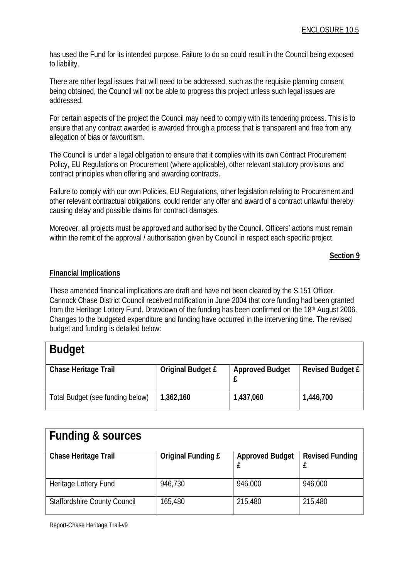has used the Fund for its intended purpose. Failure to do so could result in the Council being exposed to liability.

There are other legal issues that will need to be addressed, such as the requisite planning consent being obtained, the Council will not be able to progress this project unless such legal issues are addressed.

For certain aspects of the project the Council may need to comply with its tendering process. This is to ensure that any contract awarded is awarded through a process that is transparent and free from any allegation of bias or favouritism.

The Council is under a legal obligation to ensure that it complies with its own Contract Procurement Policy, EU Regulations on Procurement (where applicable), other relevant statutory provisions and contract principles when offering and awarding contracts.

Failure to comply with our own Policies, EU Regulations, other legislation relating to Procurement and other relevant contractual obligations, could render any offer and award of a contract unlawful thereby causing delay and possible claims for contract damages.

Moreover, all projects must be approved and authorised by the Council. Officers' actions must remain within the remit of the approval / authorisation given by Council in respect each specific project.

#### **Section 9**

#### **Financial Implications**

These amended financial implications are draft and have not been cleared by the S.151 Officer. Cannock Chase District Council received notification in June 2004 that core funding had been granted from the Heritage Lottery Fund. Drawdown of the funding has been confirmed on the 18th August 2006. Changes to the budgeted expenditure and funding have occurred in the intervening time. The revised budget and funding is detailed below:

| <b>Budget</b>                    |                          |                        |                         |
|----------------------------------|--------------------------|------------------------|-------------------------|
| <b>Chase Heritage Trail</b>      | <b>Original Budget £</b> | <b>Approved Budget</b> | <b>Revised Budget £</b> |
| Total Budget (see funding below) | 1,362,160                | 1,437,060              | 1,446,700               |

| <b>Funding &amp; sources</b>        |                           |                        |                        |
|-------------------------------------|---------------------------|------------------------|------------------------|
| Chase Heritage Trail                | <b>Original Funding £</b> | <b>Approved Budget</b> | <b>Revised Funding</b> |
| Heritage Lottery Fund               | 946,730                   | 946,000                | 946,000                |
| <b>Staffordshire County Council</b> | 165,480                   | 215,480                | 215,480                |

Report-Chase Heritage Trail-v9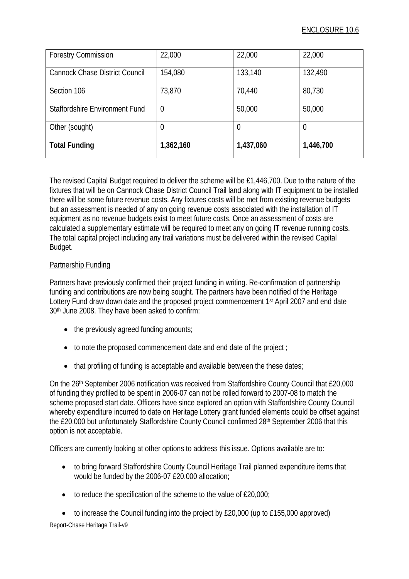| <b>Forestry Commission</b>            | 22,000    | 22,000    | 22,000    |
|---------------------------------------|-----------|-----------|-----------|
| <b>Cannock Chase District Council</b> | 154,080   | 133,140   | 132,490   |
| Section 106                           | 73,870    | 70,440    | 80,730    |
| Staffordshire Environment Fund        | 0         | 50,000    | 50,000    |
| Other (sought)                        | 0         | 0         |           |
| <b>Total Funding</b>                  | 1,362,160 | 1,437,060 | 1,446,700 |

The revised Capital Budget required to deliver the scheme will be £1,446,700. Due to the nature of the fixtures that will be on Cannock Chase District Council Trail land along with IT equipment to be installed there will be some future revenue costs. Any fixtures costs will be met from existing revenue budgets but an assessment is needed of any on going revenue costs associated with the installation of IT equipment as no revenue budgets exist to meet future costs. Once an assessment of costs are calculated a supplementary estimate will be required to meet any on going IT revenue running costs. The total capital project including any trail variations must be delivered within the revised Capital Budget.

### Partnership Funding

Partners have previously confirmed their project funding in writing. Re-confirmation of partnership funding and contributions are now being sought. The partners have been notified of the Heritage Lottery Fund draw down date and the proposed project commencement 1<sup>st</sup> April 2007 and end date 30th June 2008. They have been asked to confirm:

- the previously agreed funding amounts;
- to note the proposed commencement date and end date of the project;
- that profiling of funding is acceptable and available between the these dates;

On the 26th September 2006 notification was received from Staffordshire County Council that £20,000 of funding they profiled to be spent in 2006-07 can not be rolled forward to 2007-08 to match the scheme proposed start date. Officers have since explored an option with Staffordshire County Council whereby expenditure incurred to date on Heritage Lottery grant funded elements could be offset against the £20,000 but unfortunately Staffordshire County Council confirmed 28th September 2006 that this option is not acceptable.

Officers are currently looking at other options to address this issue. Options available are to:

- to bring forward Staffordshire County Council Heritage Trail planned expenditure items that would be funded by the 2006-07 £20,000 allocation;
- to reduce the specification of the scheme to the value of £20,000;
- to increase the Council funding into the project by £20,000 (up to £155,000 approved)

Report-Chase Heritage Trail-v9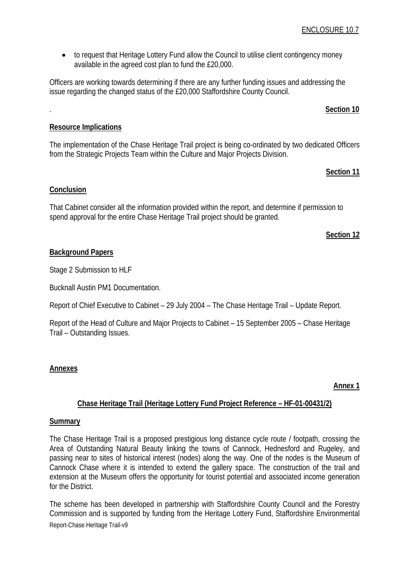• to request that Heritage Lottery Fund allow the Council to utilise client contingency money available in the agreed cost plan to fund the £20,000.

Officers are working towards determining if there are any further funding issues and addressing the issue regarding the changed status of the £20,000 Staffordshire County Council.

# . **Section 10**

# **Resource Implications**

The implementation of the Chase Heritage Trail project is being co-ordinated by two dedicated Officers from the Strategic Projects Team within the Culture and Major Projects Division.

# **Section 11**

# **Conclusion**

That Cabinet consider all the information provided within the report, and determine if permission to spend approval for the entire Chase Heritage Trail project should be granted.

## **Section 12**

# **Background Papers**

Stage 2 Submission to HLF

Bucknall Austin PM1 Documentation.

Report of Chief Executive to Cabinet – 29 July 2004 – The Chase Heritage Trail – Update Report.

Report of the Head of Culture and Major Projects to Cabinet – 15 September 2005 – Chase Heritage Trail – Outstanding Issues.

# **Annexes**

### **Annex 1**

## **Chase Heritage Trail (Heritage Lottery Fund Project Reference – HF-01-00431/2)**

### **Summary**

The Chase Heritage Trail is a proposed prestigious long distance cycle route / footpath, crossing the Area of Outstanding Natural Beauty linking the towns of Cannock, Hednesford and Rugeley, and passing near to sites of historical interest (nodes) along the way. One of the nodes is the Museum of Cannock Chase where it is intended to extend the gallery space. The construction of the trail and extension at the Museum offers the opportunity for tourist potential and associated income generation for the District.

The scheme has been developed in partnership with Staffordshire County Council and the Forestry Commission and is supported by funding from the Heritage Lottery Fund, Staffordshire Environmental Report-Chase Heritage Trail-v9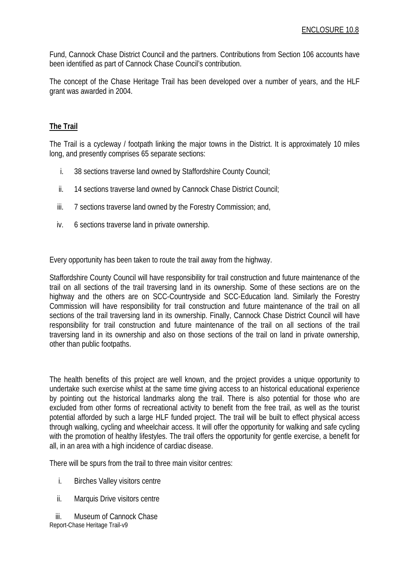Fund, Cannock Chase District Council and the partners. Contributions from Section 106 accounts have been identified as part of Cannock Chase Council's contribution.

The concept of the Chase Heritage Trail has been developed over a number of years, and the HLF grant was awarded in 2004.

### **The Trail**

The Trail is a cycleway / footpath linking the major towns in the District. It is approximately 10 miles long, and presently comprises 65 separate sections:

- i. 38 sections traverse land owned by Staffordshire County Council;
- ii. 14 sections traverse land owned by Cannock Chase District Council;
- iii. 7 sections traverse land owned by the Forestry Commission; and,
- iv. 6 sections traverse land in private ownership.

Every opportunity has been taken to route the trail away from the highway.

Staffordshire County Council will have responsibility for trail construction and future maintenance of the trail on all sections of the trail traversing land in its ownership. Some of these sections are on the highway and the others are on SCC-Countryside and SCC-Education land. Similarly the Forestry Commission will have responsibility for trail construction and future maintenance of the trail on all sections of the trail traversing land in its ownership. Finally, Cannock Chase District Council will have responsibility for trail construction and future maintenance of the trail on all sections of the trail traversing land in its ownership and also on those sections of the trail on land in private ownership, other than public footpaths.

The health benefits of this project are well known, and the project provides a unique opportunity to undertake such exercise whilst at the same time giving access to an historical educational experience by pointing out the historical landmarks along the trail. There is also potential for those who are excluded from other forms of recreational activity to benefit from the free trail, as well as the tourist potential afforded by such a large HLF funded project. The trail will be built to effect physical access through walking, cycling and wheelchair access. It will offer the opportunity for walking and safe cycling with the promotion of healthy lifestyles. The trail offers the opportunity for gentle exercise, a benefit for all, in an area with a high incidence of cardiac disease.

There will be spurs from the trail to three main visitor centres:

- i. Birches Valley visitors centre
- ii. Marquis Drive visitors centre

Report-Chase Heritage Trail-v9 iii. Museum of Cannock Chase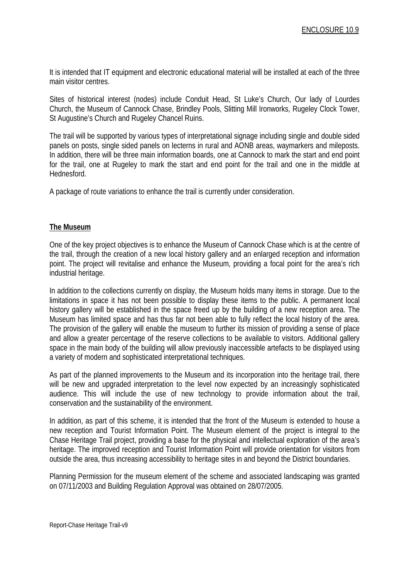It is intended that IT equipment and electronic educational material will be installed at each of the three main visitor centres.

Sites of historical interest (nodes) include Conduit Head, St Luke's Church, Our lady of Lourdes Church, the Museum of Cannock Chase, Brindley Pools, Slitting Mill Ironworks, Rugeley Clock Tower, St Augustine's Church and Rugeley Chancel Ruins.

The trail will be supported by various types of interpretational signage including single and double sided panels on posts, single sided panels on lecterns in rural and AONB areas, waymarkers and mileposts. In addition, there will be three main information boards, one at Cannock to mark the start and end point for the trail, one at Rugeley to mark the start and end point for the trail and one in the middle at Hednesford.

A package of route variations to enhance the trail is currently under consideration.

#### **The Museum**

One of the key project objectives is to enhance the Museum of Cannock Chase which is at the centre of the trail, through the creation of a new local history gallery and an enlarged reception and information point. The project will revitalise and enhance the Museum, providing a focal point for the area's rich industrial heritage.

In addition to the collections currently on display, the Museum holds many items in storage. Due to the limitations in space it has not been possible to display these items to the public. A permanent local history gallery will be established in the space freed up by the building of a new reception area. The Museum has limited space and has thus far not been able to fully reflect the local history of the area. The provision of the gallery will enable the museum to further its mission of providing a sense of place and allow a greater percentage of the reserve collections to be available to visitors. Additional gallery space in the main body of the building will allow previously inaccessible artefacts to be displayed using a variety of modern and sophisticated interpretational techniques.

As part of the planned improvements to the Museum and its incorporation into the heritage trail, there will be new and upgraded interpretation to the level now expected by an increasingly sophisticated audience. This will include the use of new technology to provide information about the trail, conservation and the sustainability of the environment.

In addition, as part of this scheme, it is intended that the front of the Museum is extended to house a new reception and Tourist Information Point. The Museum element of the project is integral to the Chase Heritage Trail project, providing a base for the physical and intellectual exploration of the area's heritage. The improved reception and Tourist Information Point will provide orientation for visitors from outside the area, thus increasing accessibility to heritage sites in and beyond the District boundaries.

Planning Permission for the museum element of the scheme and associated landscaping was granted on 07/11/2003 and Building Regulation Approval was obtained on 28/07/2005.